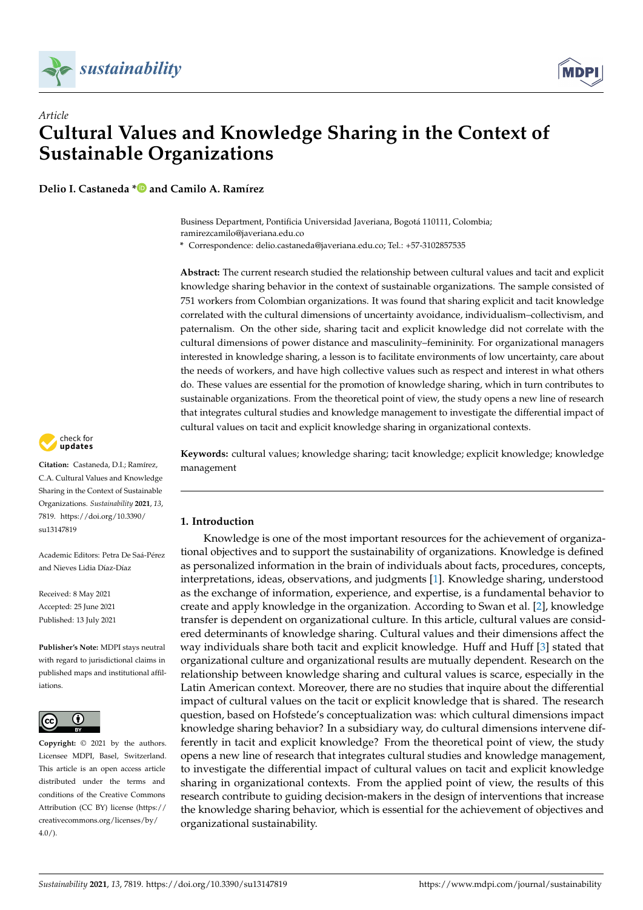

*Article*



# **Cultural Values and Knowledge Sharing in the Context of Sustainable Organizations**

**Delio I. Castaneda [\\*](https://orcid.org/0000-0001-8916-763X) and Camilo A. Ramírez**

Business Department, Pontificia Universidad Javeriana, Bogotá 110111, Colombia; ramirezcamilo@javeriana.edu.co

**\*** Correspondence: delio.castaneda@javeriana.edu.co; Tel.: +57-3102857535

**Abstract:** The current research studied the relationship between cultural values and tacit and explicit knowledge sharing behavior in the context of sustainable organizations. The sample consisted of 751 workers from Colombian organizations. It was found that sharing explicit and tacit knowledge correlated with the cultural dimensions of uncertainty avoidance, individualism–collectivism, and paternalism. On the other side, sharing tacit and explicit knowledge did not correlate with the cultural dimensions of power distance and masculinity–femininity. For organizational managers interested in knowledge sharing, a lesson is to facilitate environments of low uncertainty, care about the needs of workers, and have high collective values such as respect and interest in what others do. These values are essential for the promotion of knowledge sharing, which in turn contributes to sustainable organizations. From the theoretical point of view, the study opens a new line of research that integrates cultural studies and knowledge management to investigate the differential impact of cultural values on tacit and explicit knowledge sharing in organizational contexts.

**Keywords:** cultural values; knowledge sharing; tacit knowledge; explicit knowledge; knowledge management

## **1. Introduction**

Knowledge is one of the most important resources for the achievement of organizational objectives and to support the sustainability of organizations. Knowledge is defined as personalized information in the brain of individuals about facts, procedures, concepts, interpretations, ideas, observations, and judgments [\[1\]](#page-11-0). Knowledge sharing, understood as the exchange of information, experience, and expertise, is a fundamental behavior to create and apply knowledge in the organization. According to Swan et al. [\[2\]](#page-11-1), knowledge transfer is dependent on organizational culture. In this article, cultural values are considered determinants of knowledge sharing. Cultural values and their dimensions affect the way individuals share both tacit and explicit knowledge. Huff and Huff [\[3\]](#page-11-2) stated that organizational culture and organizational results are mutually dependent. Research on the relationship between knowledge sharing and cultural values is scarce, especially in the Latin American context. Moreover, there are no studies that inquire about the differential impact of cultural values on the tacit or explicit knowledge that is shared. The research question, based on Hofstede's conceptualization was: which cultural dimensions impact knowledge sharing behavior? In a subsidiary way, do cultural dimensions intervene differently in tacit and explicit knowledge? From the theoretical point of view, the study opens a new line of research that integrates cultural studies and knowledge management, to investigate the differential impact of cultural values on tacit and explicit knowledge sharing in organizational contexts. From the applied point of view, the results of this research contribute to guiding decision-makers in the design of interventions that increase the knowledge sharing behavior, which is essential for the achievement of objectives and organizational sustainability.



**Citation:** Castaneda, D.I.; Ramírez, C.A. Cultural Values and Knowledge Sharing in the Context of Sustainable Organizations. *Sustainability* **2021**, *13*, 7819. [https://doi.org/10.3390/](https://doi.org/10.3390/su13147819) [su13147819](https://doi.org/10.3390/su13147819)

Academic Editors: Petra De Saá-Pérez and Nieves Lidia Díaz-Díaz

Received: 8 May 2021 Accepted: 25 June 2021 Published: 13 July 2021

**Publisher's Note:** MDPI stays neutral with regard to jurisdictional claims in published maps and institutional affiliations.



**Copyright:** © 2021 by the authors. Licensee MDPI, Basel, Switzerland. This article is an open access article distributed under the terms and conditions of the Creative Commons Attribution (CC BY) license (https:/[/](https://creativecommons.org/licenses/by/4.0/) [creativecommons.org/licenses/by/](https://creativecommons.org/licenses/by/4.0/) 4.0/).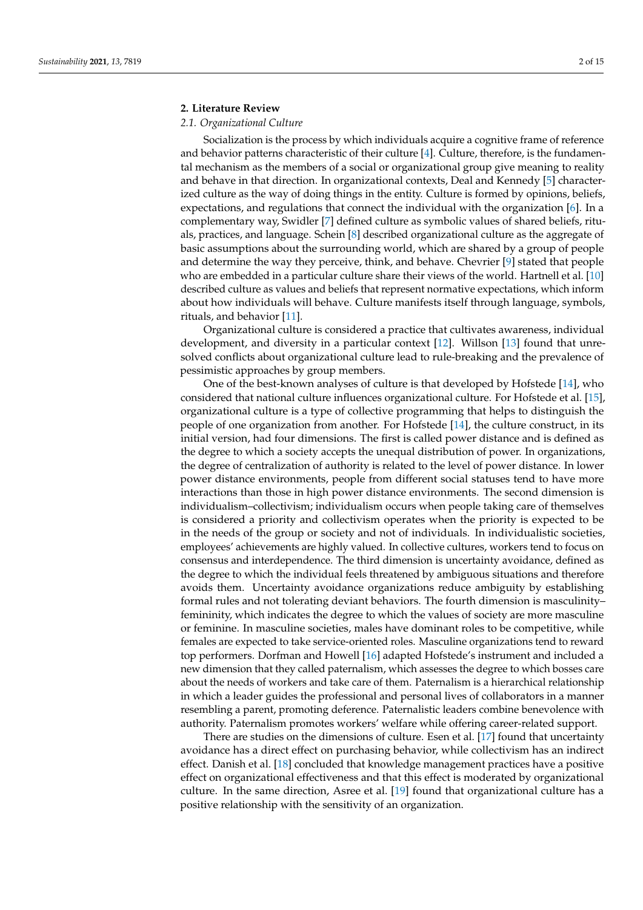#### **2. Literature Review**

## *2.1. Organizational Culture*

Socialization is the process by which individuals acquire a cognitive frame of reference and behavior patterns characteristic of their culture [\[4\]](#page-11-3). Culture, therefore, is the fundamental mechanism as the members of a social or organizational group give meaning to reality and behave in that direction. In organizational contexts, Deal and Kennedy [\[5\]](#page-11-4) characterized culture as the way of doing things in the entity. Culture is formed by opinions, beliefs, expectations, and regulations that connect the individual with the organization [\[6\]](#page-11-5). In a complementary way, Swidler [\[7\]](#page-11-6) defined culture as symbolic values of shared beliefs, rituals, practices, and language. Schein [\[8\]](#page-11-7) described organizational culture as the aggregate of basic assumptions about the surrounding world, which are shared by a group of people and determine the way they perceive, think, and behave. Chevrier [\[9\]](#page-11-8) stated that people who are embedded in a particular culture share their views of the world. Hartnell et al. [\[10\]](#page-11-9) described culture as values and beliefs that represent normative expectations, which inform about how individuals will behave. Culture manifests itself through language, symbols, rituals, and behavior [\[11\]](#page-12-0).

Organizational culture is considered a practice that cultivates awareness, individual development, and diversity in a particular context [\[12\]](#page-12-1). Willson [\[13\]](#page-12-2) found that unresolved conflicts about organizational culture lead to rule-breaking and the prevalence of pessimistic approaches by group members.

One of the best-known analyses of culture is that developed by Hofstede [\[14\]](#page-12-3), who considered that national culture influences organizational culture. For Hofstede et al. [\[15\]](#page-12-4), organizational culture is a type of collective programming that helps to distinguish the people of one organization from another. For Hofstede [\[14\]](#page-12-3), the culture construct, in its initial version, had four dimensions. The first is called power distance and is defined as the degree to which a society accepts the unequal distribution of power. In organizations, the degree of centralization of authority is related to the level of power distance. In lower power distance environments, people from different social statuses tend to have more interactions than those in high power distance environments. The second dimension is individualism–collectivism; individualism occurs when people taking care of themselves is considered a priority and collectivism operates when the priority is expected to be in the needs of the group or society and not of individuals. In individualistic societies, employees' achievements are highly valued. In collective cultures, workers tend to focus on consensus and interdependence. The third dimension is uncertainty avoidance, defined as the degree to which the individual feels threatened by ambiguous situations and therefore avoids them. Uncertainty avoidance organizations reduce ambiguity by establishing formal rules and not tolerating deviant behaviors. The fourth dimension is masculinity– femininity, which indicates the degree to which the values of society are more masculine or feminine. In masculine societies, males have dominant roles to be competitive, while females are expected to take service-oriented roles. Masculine organizations tend to reward top performers. Dorfman and Howell [\[16\]](#page-12-5) adapted Hofstede's instrument and included a new dimension that they called paternalism, which assesses the degree to which bosses care about the needs of workers and take care of them. Paternalism is a hierarchical relationship in which a leader guides the professional and personal lives of collaborators in a manner resembling a parent, promoting deference. Paternalistic leaders combine benevolence with authority. Paternalism promotes workers' welfare while offering career-related support.

There are studies on the dimensions of culture. Esen et al. [\[17\]](#page-12-6) found that uncertainty avoidance has a direct effect on purchasing behavior, while collectivism has an indirect effect. Danish et al. [\[18\]](#page-12-7) concluded that knowledge management practices have a positive effect on organizational effectiveness and that this effect is moderated by organizational culture. In the same direction, Asree et al. [\[19\]](#page-12-8) found that organizational culture has a positive relationship with the sensitivity of an organization.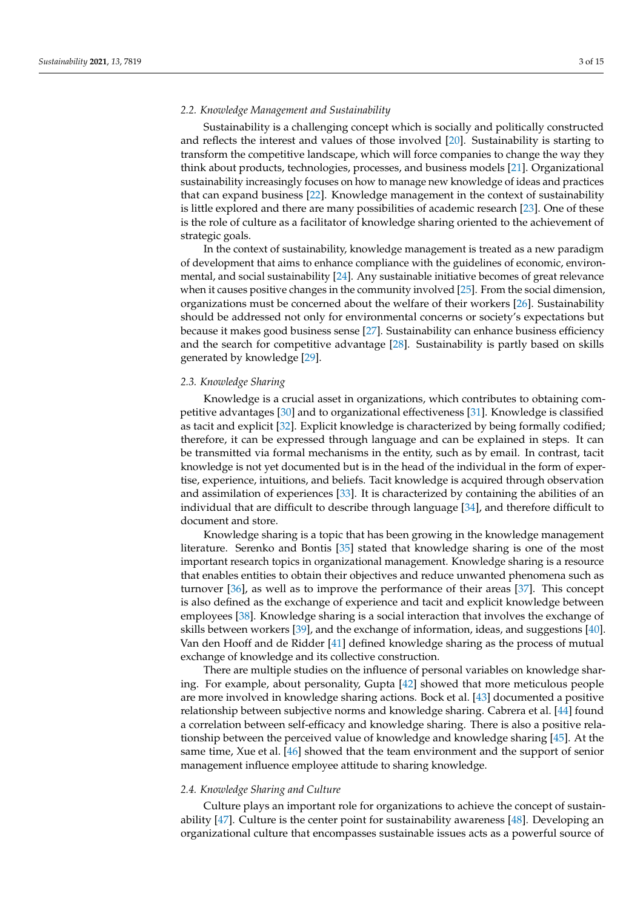# *2.2. Knowledge Management and Sustainability*

Sustainability is a challenging concept which is socially and politically constructed and reflects the interest and values of those involved [\[20\]](#page-12-9). Sustainability is starting to transform the competitive landscape, which will force companies to change the way they think about products, technologies, processes, and business models [\[21\]](#page-12-10). Organizational sustainability increasingly focuses on how to manage new knowledge of ideas and practices that can expand business [\[22\]](#page-12-11). Knowledge management in the context of sustainability is little explored and there are many possibilities of academic research [\[23\]](#page-12-12). One of these is the role of culture as a facilitator of knowledge sharing oriented to the achievement of strategic goals.

In the context of sustainability, knowledge management is treated as a new paradigm of development that aims to enhance compliance with the guidelines of economic, environmental, and social sustainability [\[24\]](#page-12-13). Any sustainable initiative becomes of great relevance when it causes positive changes in the community involved [\[25\]](#page-12-14). From the social dimension, organizations must be concerned about the welfare of their workers [\[26\]](#page-12-15). Sustainability should be addressed not only for environmental concerns or society's expectations but because it makes good business sense [\[27\]](#page-12-16). Sustainability can enhance business efficiency and the search for competitive advantage [\[28\]](#page-12-17). Sustainability is partly based on skills generated by knowledge [\[29\]](#page-12-18).

## *2.3. Knowledge Sharing*

Knowledge is a crucial asset in organizations, which contributes to obtaining competitive advantages [\[30\]](#page-12-19) and to organizational effectiveness [\[31\]](#page-12-20). Knowledge is classified as tacit and explicit [\[32\]](#page-12-21). Explicit knowledge is characterized by being formally codified; therefore, it can be expressed through language and can be explained in steps. It can be transmitted via formal mechanisms in the entity, such as by email. In contrast, tacit knowledge is not yet documented but is in the head of the individual in the form of expertise, experience, intuitions, and beliefs. Tacit knowledge is acquired through observation and assimilation of experiences [\[33\]](#page-12-22). It is characterized by containing the abilities of an individual that are difficult to describe through language [\[34\]](#page-12-23), and therefore difficult to document and store.

Knowledge sharing is a topic that has been growing in the knowledge management literature. Serenko and Bontis [\[35\]](#page-12-24) stated that knowledge sharing is one of the most important research topics in organizational management. Knowledge sharing is a resource that enables entities to obtain their objectives and reduce unwanted phenomena such as turnover [\[36\]](#page-12-25), as well as to improve the performance of their areas [\[37\]](#page-12-26). This concept is also defined as the exchange of experience and tacit and explicit knowledge between employees [\[38\]](#page-12-27). Knowledge sharing is a social interaction that involves the exchange of skills between workers [\[39\]](#page-12-28), and the exchange of information, ideas, and suggestions [\[40\]](#page-12-29). Van den Hooff and de Ridder [\[41\]](#page-12-30) defined knowledge sharing as the process of mutual exchange of knowledge and its collective construction.

There are multiple studies on the influence of personal variables on knowledge sharing. For example, about personality, Gupta [\[42\]](#page-12-31) showed that more meticulous people are more involved in knowledge sharing actions. Bock et al. [\[43\]](#page-12-32) documented a positive relationship between subjective norms and knowledge sharing. Cabrera et al. [\[44\]](#page-13-0) found a correlation between self-efficacy and knowledge sharing. There is also a positive relationship between the perceived value of knowledge and knowledge sharing [\[45\]](#page-13-1). At the same time, Xue et al. [\[46\]](#page-13-2) showed that the team environment and the support of senior management influence employee attitude to sharing knowledge.

#### *2.4. Knowledge Sharing and Culture*

Culture plays an important role for organizations to achieve the concept of sustainability [\[47\]](#page-13-3). Culture is the center point for sustainability awareness [\[48\]](#page-13-4). Developing an organizational culture that encompasses sustainable issues acts as a powerful source of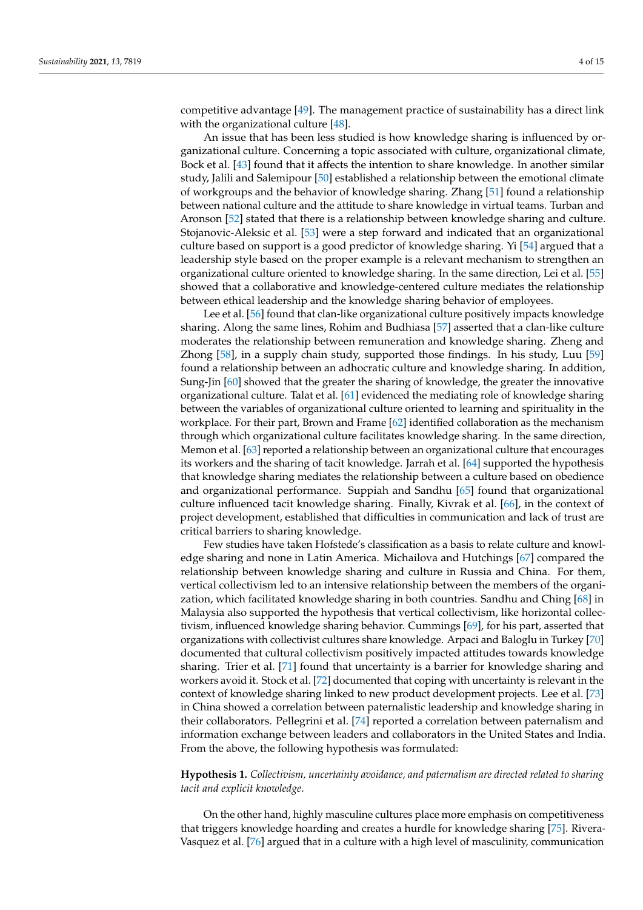competitive advantage [\[49\]](#page-13-5). The management practice of sustainability has a direct link with the organizational culture [\[48\]](#page-13-4).

An issue that has been less studied is how knowledge sharing is influenced by organizational culture. Concerning a topic associated with culture, organizational climate, Bock et al. [\[43\]](#page-12-32) found that it affects the intention to share knowledge. In another similar study, Jalili and Salemipour [\[50\]](#page-13-6) established a relationship between the emotional climate of workgroups and the behavior of knowledge sharing. Zhang [\[51\]](#page-13-7) found a relationship between national culture and the attitude to share knowledge in virtual teams. Turban and Aronson [\[52\]](#page-13-8) stated that there is a relationship between knowledge sharing and culture. Stojanovic-Aleksic et al. [\[53\]](#page-13-9) were a step forward and indicated that an organizational culture based on support is a good predictor of knowledge sharing. Yi [\[54\]](#page-13-10) argued that a leadership style based on the proper example is a relevant mechanism to strengthen an organizational culture oriented to knowledge sharing. In the same direction, Lei et al. [\[55\]](#page-13-11) showed that a collaborative and knowledge-centered culture mediates the relationship between ethical leadership and the knowledge sharing behavior of employees.

Lee et al. [\[56\]](#page-13-12) found that clan-like organizational culture positively impacts knowledge sharing. Along the same lines, Rohim and Budhiasa [\[57\]](#page-13-13) asserted that a clan-like culture moderates the relationship between remuneration and knowledge sharing. Zheng and Zhong [\[58\]](#page-13-14), in a supply chain study, supported those findings. In his study, Luu [\[59\]](#page-13-15) found a relationship between an adhocratic culture and knowledge sharing. In addition, Sung-Jin [\[60\]](#page-13-16) showed that the greater the sharing of knowledge, the greater the innovative organizational culture. Talat et al. [\[61\]](#page-13-17) evidenced the mediating role of knowledge sharing between the variables of organizational culture oriented to learning and spirituality in the workplace. For their part, Brown and Frame [\[62\]](#page-13-18) identified collaboration as the mechanism through which organizational culture facilitates knowledge sharing. In the same direction, Memon et al. [\[63\]](#page-13-19) reported a relationship between an organizational culture that encourages its workers and the sharing of tacit knowledge. Jarrah et al. [\[64\]](#page-13-20) supported the hypothesis that knowledge sharing mediates the relationship between a culture based on obedience and organizational performance. Suppiah and Sandhu [\[65\]](#page-13-21) found that organizational culture influenced tacit knowledge sharing. Finally, Kivrak et al. [\[66\]](#page-13-22), in the context of project development, established that difficulties in communication and lack of trust are critical barriers to sharing knowledge.

Few studies have taken Hofstede's classification as a basis to relate culture and knowledge sharing and none in Latin America. Michailova and Hutchings [\[67\]](#page-13-23) compared the relationship between knowledge sharing and culture in Russia and China. For them, vertical collectivism led to an intensive relationship between the members of the organization, which facilitated knowledge sharing in both countries. Sandhu and Ching [\[68\]](#page-13-24) in Malaysia also supported the hypothesis that vertical collectivism, like horizontal collectivism, influenced knowledge sharing behavior. Cummings [\[69\]](#page-13-25), for his part, asserted that organizations with collectivist cultures share knowledge. Arpaci and Baloglu in Turkey [\[70\]](#page-13-26) documented that cultural collectivism positively impacted attitudes towards knowledge sharing. Trier et al. [\[71\]](#page-13-27) found that uncertainty is a barrier for knowledge sharing and workers avoid it. Stock et al. [\[72\]](#page-13-28) documented that coping with uncertainty is relevant in the context of knowledge sharing linked to new product development projects. Lee et al. [\[73\]](#page-13-29) in China showed a correlation between paternalistic leadership and knowledge sharing in their collaborators. Pellegrini et al. [\[74\]](#page-14-0) reported a correlation between paternalism and information exchange between leaders and collaborators in the United States and India. From the above, the following hypothesis was formulated:

# **Hypothesis 1.** *Collectivism, uncertainty avoidance, and paternalism are directed related to sharing tacit and explicit knowledge*.

On the other hand, highly masculine cultures place more emphasis on competitiveness that triggers knowledge hoarding and creates a hurdle for knowledge sharing [\[75\]](#page-14-1). Rivera-Vasquez et al. [\[76\]](#page-14-2) argued that in a culture with a high level of masculinity, communication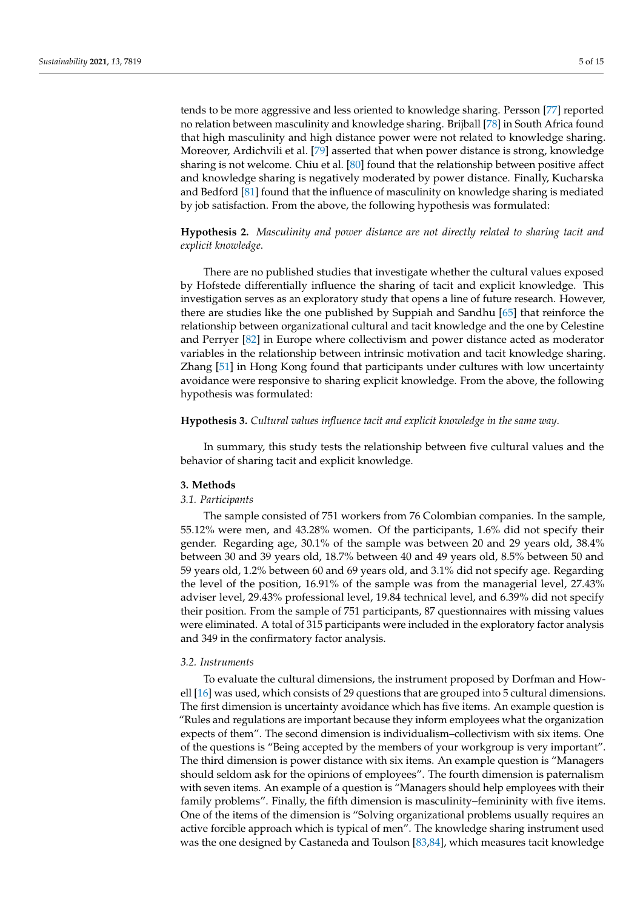tends to be more aggressive and less oriented to knowledge sharing. Persson [\[77\]](#page-14-3) reported no relation between masculinity and knowledge sharing. Brijball [\[78\]](#page-14-4) in South Africa found that high masculinity and high distance power were not related to knowledge sharing. Moreover, Ardichvili et al. [\[79\]](#page-14-5) asserted that when power distance is strong, knowledge sharing is not welcome. Chiu et al. [\[80\]](#page-14-6) found that the relationship between positive affect and knowledge sharing is negatively moderated by power distance. Finally, Kucharska and Bedford [\[81\]](#page-14-7) found that the influence of masculinity on knowledge sharing is mediated by job satisfaction. From the above, the following hypothesis was formulated:

# **Hypothesis 2.** *Masculinity and power distance are not directly related to sharing tacit and explicit knowledge*.

There are no published studies that investigate whether the cultural values exposed by Hofstede differentially influence the sharing of tacit and explicit knowledge. This investigation serves as an exploratory study that opens a line of future research. However, there are studies like the one published by Suppiah and Sandhu [\[65\]](#page-13-21) that reinforce the relationship between organizational cultural and tacit knowledge and the one by Celestine and Perryer [\[82\]](#page-14-8) in Europe where collectivism and power distance acted as moderator variables in the relationship between intrinsic motivation and tacit knowledge sharing. Zhang [\[51\]](#page-13-7) in Hong Kong found that participants under cultures with low uncertainty avoidance were responsive to sharing explicit knowledge. From the above, the following hypothesis was formulated:

#### **Hypothesis 3.** *Cultural values influence tacit and explicit knowledge in the same way*.

In summary, this study tests the relationship between five cultural values and the behavior of sharing tacit and explicit knowledge.

## **3. Methods**

#### *3.1. Participants*

The sample consisted of 751 workers from 76 Colombian companies. In the sample, 55.12% were men, and 43.28% women. Of the participants, 1.6% did not specify their gender. Regarding age, 30.1% of the sample was between 20 and 29 years old, 38.4% between 30 and 39 years old, 18.7% between 40 and 49 years old, 8.5% between 50 and 59 years old, 1.2% between 60 and 69 years old, and 3.1% did not specify age. Regarding the level of the position, 16.91% of the sample was from the managerial level, 27.43% adviser level, 29.43% professional level, 19.84 technical level, and 6.39% did not specify their position. From the sample of 751 participants, 87 questionnaires with missing values were eliminated. A total of 315 participants were included in the exploratory factor analysis and 349 in the confirmatory factor analysis.

#### *3.2. Instruments*

To evaluate the cultural dimensions, the instrument proposed by Dorfman and Howell [\[16\]](#page-12-5) was used, which consists of 29 questions that are grouped into 5 cultural dimensions. The first dimension is uncertainty avoidance which has five items. An example question is "Rules and regulations are important because they inform employees what the organization expects of them". The second dimension is individualism–collectivism with six items. One of the questions is "Being accepted by the members of your workgroup is very important". The third dimension is power distance with six items. An example question is "Managers should seldom ask for the opinions of employees". The fourth dimension is paternalism with seven items. An example of a question is "Managers should help employees with their family problems". Finally, the fifth dimension is masculinity–femininity with five items. One of the items of the dimension is "Solving organizational problems usually requires an active forcible approach which is typical of men". The knowledge sharing instrument used was the one designed by Castaneda and Toulson [\[83](#page-14-9)[,84\]](#page-14-10), which measures tacit knowledge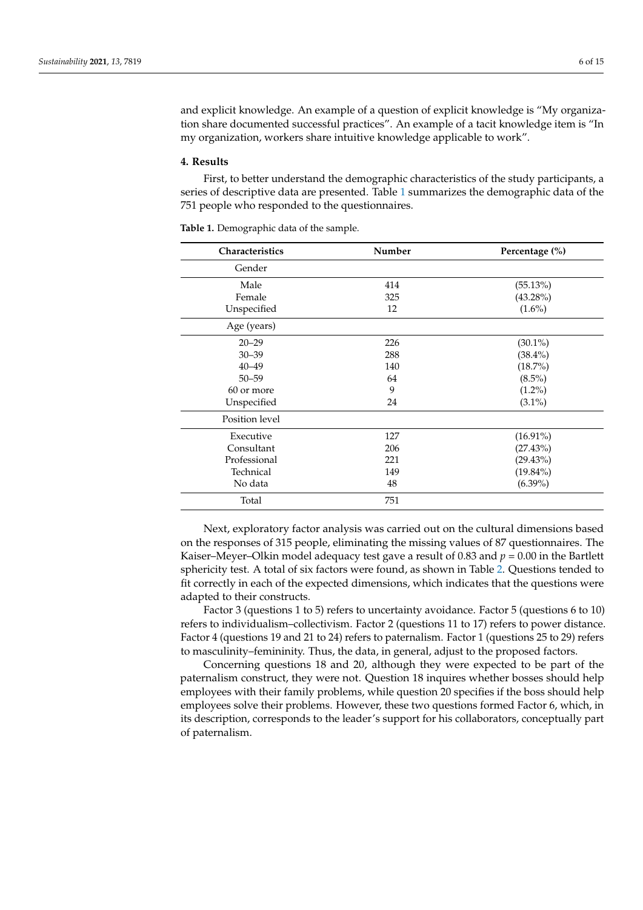and explicit knowledge. An example of a question of explicit knowledge is "My organization share documented successful practices". An example of a tacit knowledge item is "In my organization, workers share intuitive knowledge applicable to work".

#### **4. Results**

First, to better understand the demographic characteristics of the study participants, a series of descriptive data are presented. Table [1](#page-5-0) summarizes the demographic data of the 751 people who responded to the questionnaires.

| Characteristics | Number | Percentage (%) |
|-----------------|--------|----------------|
| Gender          |        |                |
| Male            | 414    | (55.13%)       |
| Female          | 325    | $(43.28\%)$    |
| Unspecified     | 12     | $(1.6\%)$      |
| Age (years)     |        |                |
| $20 - 29$       | 226    | $(30.1\%)$     |
| $30 - 39$       | 288    | $(38.4\%)$     |
| $40 - 49$       | 140    | (18.7%)        |
| $50 - 59$       | 64     | $(8.5\%)$      |
| 60 or more      | 9      | $(1.2\%)$      |
| Unspecified     | 24     | $(3.1\%)$      |
| Position level  |        |                |
| Executive       | 127    | $(16.91\%)$    |
| Consultant      | 206    | (27.43%)       |
| Professional    | 221    | $(29.43\%)$    |
| Technical       | 149    | $(19.84\%)$    |
| No data         | 48     | $(6.39\%)$     |
| Total           | 751    |                |

<span id="page-5-0"></span>**Table 1.** Demographic data of the sample.

Next, exploratory factor analysis was carried out on the cultural dimensions based on the responses of 315 people, eliminating the missing values of 87 questionnaires. The Kaiser–Meyer–Olkin model adequacy test gave a result of 0.83 and  $p = 0.00$  in the Bartlett sphericity test. A total of six factors were found, as shown in Table [2.](#page-7-0) Questions tended to fit correctly in each of the expected dimensions, which indicates that the questions were adapted to their constructs.

Factor 3 (questions 1 to 5) refers to uncertainty avoidance. Factor 5 (questions 6 to 10) refers to individualism–collectivism. Factor 2 (questions 11 to 17) refers to power distance. Factor 4 (questions 19 and 21 to 24) refers to paternalism. Factor 1 (questions 25 to 29) refers to masculinity–femininity. Thus, the data, in general, adjust to the proposed factors.

Concerning questions 18 and 20, although they were expected to be part of the paternalism construct, they were not. Question 18 inquires whether bosses should help employees with their family problems, while question 20 specifies if the boss should help employees solve their problems. However, these two questions formed Factor 6, which, in its description, corresponds to the leader's support for his collaborators, conceptually part of paternalism.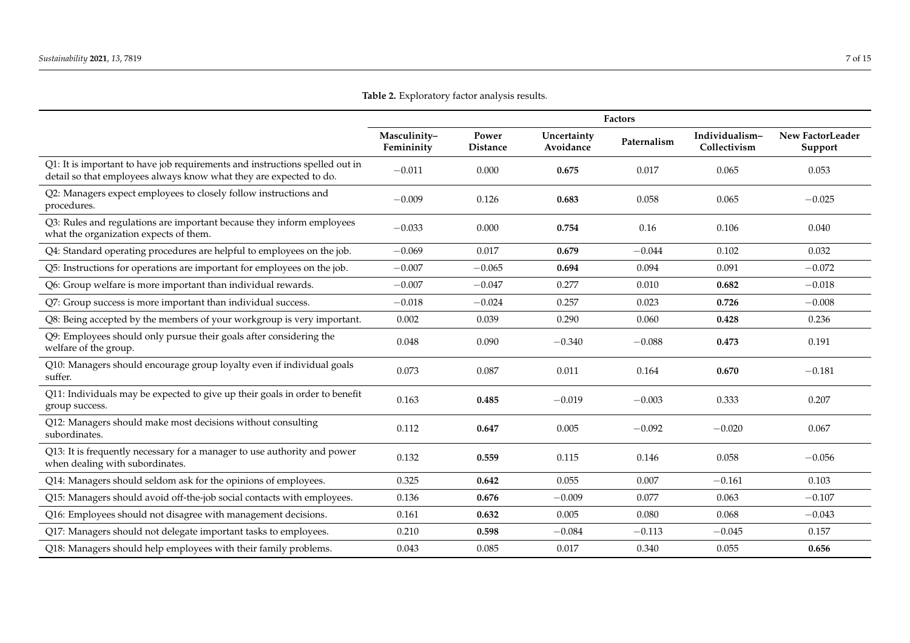|                                                                                                                                                    | <b>Factors</b>             |                          |                          |             |                                |                                    |
|----------------------------------------------------------------------------------------------------------------------------------------------------|----------------------------|--------------------------|--------------------------|-------------|--------------------------------|------------------------------------|
|                                                                                                                                                    | Masculinity-<br>Femininity | Power<br><b>Distance</b> | Uncertainty<br>Avoidance | Paternalism | Individualism-<br>Collectivism | <b>New FactorLeader</b><br>Support |
| Q1: It is important to have job requirements and instructions spelled out in<br>detail so that employees always know what they are expected to do. | $-0.011$                   | 0.000                    | 0.675                    | 0.017       | 0.065                          | 0.053                              |
| Q2: Managers expect employees to closely follow instructions and<br>procedures.                                                                    | $-0.009$                   | 0.126                    | 0.683                    | 0.058       | 0.065                          | $-0.025$                           |
| Q3: Rules and regulations are important because they inform employees<br>what the organization expects of them.                                    | $-0.033$                   | 0.000                    | 0.754                    | 0.16        | 0.106                          | 0.040                              |
| Q4: Standard operating procedures are helpful to employees on the job.                                                                             | $-0.069$                   | 0.017                    | 0.679                    | $-0.044$    | 0.102                          | 0.032                              |
| Q5: Instructions for operations are important for employees on the job.                                                                            | $-0.007$                   | $-0.065$                 | 0.694                    | 0.094       | 0.091                          | $-0.072$                           |
| Q6: Group welfare is more important than individual rewards.                                                                                       | $-0.007$                   | $-0.047$                 | 0.277                    | 0.010       | 0.682                          | $-0.018$                           |
| Q7: Group success is more important than individual success.                                                                                       | $-0.018$                   | $-0.024$                 | 0.257                    | 0.023       | 0.726                          | $-0.008$                           |
| Q8: Being accepted by the members of your workgroup is very important.                                                                             | 0.002                      | 0.039                    | 0.290                    | 0.060       | 0.428                          | 0.236                              |
| Q9: Employees should only pursue their goals after considering the<br>welfare of the group.                                                        | 0.048                      | 0.090                    | $-0.340$                 | $-0.088$    | 0.473                          | 0.191                              |
| Q10: Managers should encourage group loyalty even if individual goals<br>suffer.                                                                   | 0.073                      | 0.087                    | 0.011                    | 0.164       | 0.670                          | $-0.181$                           |
| Q11: Individuals may be expected to give up their goals in order to benefit<br>group success.                                                      | 0.163                      | 0.485                    | $-0.019$                 | $-0.003$    | 0.333                          | 0.207                              |
| Q12: Managers should make most decisions without consulting<br>subordinates.                                                                       | 0.112                      | 0.647                    | 0.005                    | $-0.092$    | $-0.020$                       | 0.067                              |
| Q13: It is frequently necessary for a manager to use authority and power<br>when dealing with subordinates.                                        | 0.132                      | 0.559                    | 0.115                    | 0.146       | 0.058                          | $-0.056$                           |
| Q14: Managers should seldom ask for the opinions of employees.                                                                                     | 0.325                      | 0.642                    | 0.055                    | 0.007       | $-0.161$                       | 0.103                              |
| Q15: Managers should avoid off-the-job social contacts with employees.                                                                             | 0.136                      | 0.676                    | $-0.009$                 | 0.077       | 0.063                          | $-0.107$                           |
| Q16: Employees should not disagree with management decisions.                                                                                      | 0.161                      | 0.632                    | 0.005                    | 0.080       | 0.068                          | $-0.043$                           |
| Q17: Managers should not delegate important tasks to employees.                                                                                    | 0.210                      | 0.598                    | $-0.084$                 | $-0.113$    | $-0.045$                       | 0.157                              |
| Q18: Managers should help employees with their family problems.                                                                                    | 0.043                      | 0.085                    | 0.017                    | 0.340       | 0.055                          | 0.656                              |

**Table 2.** Exploratory factor analysis results.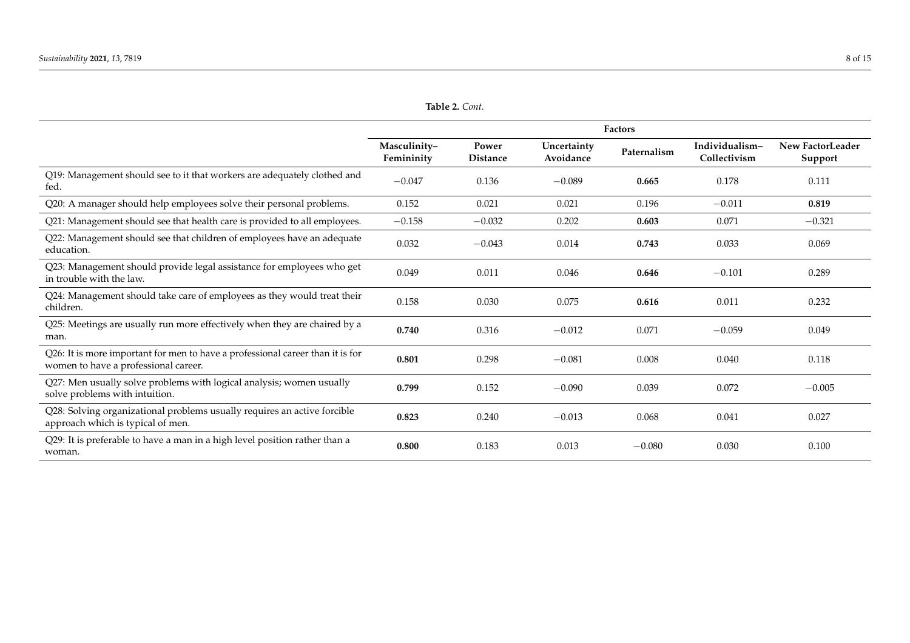**Table 2.** *Cont.*

<span id="page-7-0"></span>

|                                                                                                                        | <b>Factors</b>             |                          |                          |             |                                |                             |
|------------------------------------------------------------------------------------------------------------------------|----------------------------|--------------------------|--------------------------|-------------|--------------------------------|-----------------------------|
|                                                                                                                        | Masculinity-<br>Femininity | Power<br><b>Distance</b> | Uncertainty<br>Avoidance | Paternalism | Individualism-<br>Collectivism | New FactorLeader<br>Support |
| Q19: Management should see to it that workers are adequately clothed and<br>fed.                                       | $-0.047$                   | 0.136                    | $-0.089$                 | 0.665       | 0.178                          | 0.111                       |
| Q20: A manager should help employees solve their personal problems.                                                    | 0.152                      | 0.021                    | 0.021                    | 0.196       | $-0.011$                       | 0.819                       |
| Q21: Management should see that health care is provided to all employees.                                              | $-0.158$                   | $-0.032$                 | 0.202                    | 0.603       | 0.071                          | $-0.321$                    |
| Q22: Management should see that children of employees have an adequate<br>education.                                   | 0.032                      | $-0.043$                 | 0.014                    | 0.743       | 0.033                          | 0.069                       |
| Q23: Management should provide legal assistance for employees who get<br>in trouble with the law.                      | 0.049                      | 0.011                    | 0.046                    | 0.646       | $-0.101$                       | 0.289                       |
| Q24: Management should take care of employees as they would treat their<br>children.                                   | 0.158                      | 0.030                    | 0.075                    | 0.616       | 0.011                          | 0.232                       |
| Q25: Meetings are usually run more effectively when they are chaired by a<br>man.                                      | 0.740                      | 0.316                    | $-0.012$                 | 0.071       | $-0.059$                       | 0.049                       |
| Q26: It is more important for men to have a professional career than it is for<br>women to have a professional career. | 0.801                      | 0.298                    | $-0.081$                 | 0.008       | 0.040                          | 0.118                       |
| Q27: Men usually solve problems with logical analysis; women usually<br>solve problems with intuition.                 | 0.799                      | 0.152                    | $-0.090$                 | 0.039       | 0.072                          | $-0.005$                    |
| Q28: Solving organizational problems usually requires an active forcible<br>approach which is typical of men.          | 0.823                      | 0.240                    | $-0.013$                 | 0.068       | 0.041                          | 0.027                       |
| Q29: It is preferable to have a man in a high level position rather than a<br>woman.                                   | 0.800                      | 0.183                    | 0.013                    | $-0.080$    | 0.030                          | 0.100                       |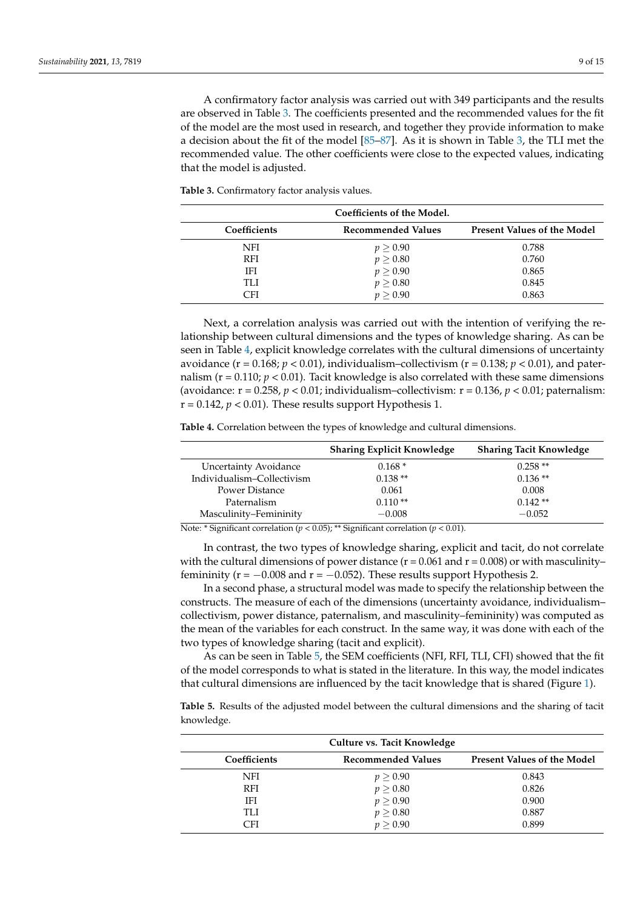A confirmatory factor analysis was carried out with 349 participants and the results are observed in Table [3.](#page-8-0) The coefficients presented and the recommended values for the fit of the model are the most used in research, and together they provide information to make a decision about the fit of the model [\[85](#page-14-11)[–87\]](#page-14-12). As it is shown in Table [3,](#page-8-0) the TLI met the recommended value. The other coefficients were close to the expected values, indicating that the model is adjusted.

<span id="page-8-0"></span>**Table 3.** Confirmatory factor analysis values.

|              | Coefficients of the Model. |                                    |
|--------------|----------------------------|------------------------------------|
| Coefficients | Recommended Values         | <b>Present Values of the Model</b> |
| NFI          | $p \geq 0.90$              | 0.788                              |
| <b>RFI</b>   | $p \geq 0.80$              | 0.760                              |
| IFI          | $p \geq 0.90$              | 0.865                              |
| TLI          | $p \geq 0.80$              | 0.845                              |
| CFI          | p > 0.90                   | 0.863                              |

Next, a correlation analysis was carried out with the intention of verifying the relationship between cultural dimensions and the types of knowledge sharing. As can be seen in Table [4,](#page-8-1) explicit knowledge correlates with the cultural dimensions of uncertainty avoidance ( $r = 0.168$ ;  $p < 0.01$ ), individualism-collectivism ( $r = 0.138$ ;  $p < 0.01$ ), and paternalism ( $r = 0.110$ ;  $p < 0.01$ ). Tacit knowledge is also correlated with these same dimensions (avoidance:  $r = 0.258$ ,  $p < 0.01$ ; individualism-collectivism:  $r = 0.136$ ,  $p < 0.01$ ; paternalism:  $r = 0.142$ ,  $p < 0.01$ ). These results support Hypothesis 1.

<span id="page-8-1"></span>**Table 4.** Correlation between the types of knowledge and cultural dimensions.

|                                                                                               | <b>Sharing Explicit Knowledge</b>                     | <b>Sharing Tacit Knowledge</b> |
|-----------------------------------------------------------------------------------------------|-------------------------------------------------------|--------------------------------|
| <b>Uncertainty Avoidance</b>                                                                  | $0.168*$                                              | $0.258**$                      |
| Individualism-Collectivism                                                                    | $0.138**$                                             | $0.136**$                      |
| Power Distance                                                                                | 0.061                                                 | 0.008                          |
| Paternalism                                                                                   | $0.110**$                                             | $0.142**$                      |
| Masculinity-Femininity                                                                        | $-0.008$                                              | $-0.052$                       |
| $\mathbf{r}$ .<br>$\lambda$ $\sim$<br>$1 \cdot 1$ $(0.07)$ $44.0$<br>$\cdot$ $\sim$<br>$\sim$ | $\cdot$ $\sim$<br>$1 \cdot 1$ $0.01$<br>$\sim$ $\sim$ |                                |

Note: \* Significant correlation (*p* < 0.05); \*\* Significant correlation (*p* < 0.01).

In contrast, the two types of knowledge sharing, explicit and tacit, do not correlate with the cultural dimensions of power distance ( $r = 0.061$  and  $r = 0.008$ ) or with masculinityfemininity ( $r = -0.008$  and  $r = -0.052$ ). These results support Hypothesis 2.

In a second phase, a structural model was made to specify the relationship between the constructs. The measure of each of the dimensions (uncertainty avoidance, individualism– collectivism, power distance, paternalism, and masculinity–femininity) was computed as the mean of the variables for each construct. In the same way, it was done with each of the two types of knowledge sharing (tacit and explicit).

As can be seen in Table [5,](#page-8-2) the SEM coefficients (NFI, RFI, TLI, CFI) showed that the fit of the model corresponds to what is stated in the literature. In this way, the model indicates that cultural dimensions are influenced by the tacit knowledge that is shared (Figure [1\)](#page-9-0).

<span id="page-8-2"></span>**Table 5.** Results of the adjusted model between the cultural dimensions and the sharing of tacit knowledge.

|              | Culture vs. Tacit Knowledge |                                    |
|--------------|-----------------------------|------------------------------------|
| Coefficients | <b>Recommended Values</b>   | <b>Present Values of the Model</b> |
| NFI          | $p \geq 0.90$               | 0.843                              |
| <b>RFI</b>   | $p \geq 0.80$               | 0.826                              |
| IFI          | $p \geq 0.90$               | 0.900                              |
| TLI          | $p \geq 0.80$               | 0.887                              |
| าฅ           | p > 0.90                    | 0.899                              |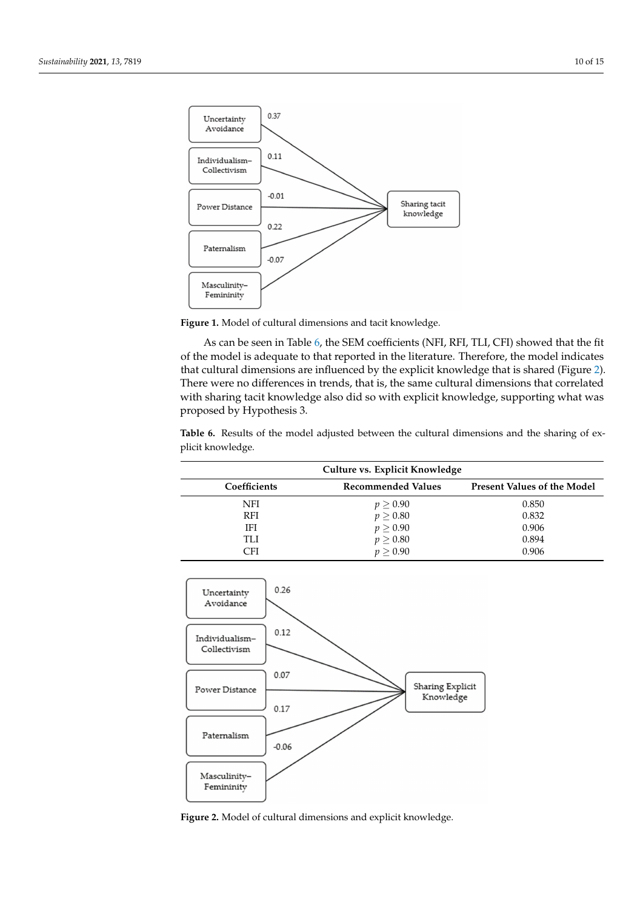<span id="page-9-0"></span>

dicates that cultural dimensions are influenced by the tacit knowledge that is shared

**Figure 1.** Model of cultural dimensions and tacit knowledge. **Figure 1.** Model of cultural dimensions and tacit knowledge.

As can be seen in Table [6,](#page-9-1) the SEM coefficients (NFI, RFI, TLI, CFI) showed that the fit of the model is adequate to that reported in the literature. Therefore, the model indicates **Culture vs. Tacit Knowledge**  that cultural dimensions are influenced by the explicit knowledge that is shared (Figure [2\)](#page-9-2). There were no differences in trends, that is, the same cultural dimensions that correlated with sharing tacit knowledge also did so with explicit knowledge, supporting what was proposed by Hypothesis 3.  $\frac{1}{2}$  → 0.900 0.900 0.900 0.900 0.900 0.900 0.900 0.900 0.900 0.900 0.900 0.900 0.900 0.900 0.900 0.900 0.900 0.900 0.900 0.900 0.900 0.900 0.900 0.900 0.900 0.900 0.900 0.900 0.900 0.900 0.900 0.900 0.900 0.900 0.900

<span id="page-9-1"></span>Table 6. Results of the model adjusted between the cultural dimensions and the sharing of ex-CFI *p* ≥ 0.90 0.899 plicit knowledge.

| Culture vs. Explicit Knowledge |                           |                                    |  |  |
|--------------------------------|---------------------------|------------------------------------|--|--|
| Coefficients                   | <b>Recommended Values</b> | <b>Present Values of the Model</b> |  |  |
| <b>NFI</b>                     | $p \geq 0.90$             | 0.850                              |  |  |
| <b>RFI</b>                     | $p \geq 0.80$             | 0.832                              |  |  |
| ΙFΙ                            | $p \geq 0.90$             | 0.906                              |  |  |
| TLI                            | $p \geq 0.80$             | 0.894                              |  |  |
| CFI                            | p > 0.90                  | 0.906                              |  |  |

<span id="page-9-2"></span>

**Figure 2.** Model of cultural dimensions and explicit knowledge. **Figure 2.** Model of cultural dimensions and explicit knowledge.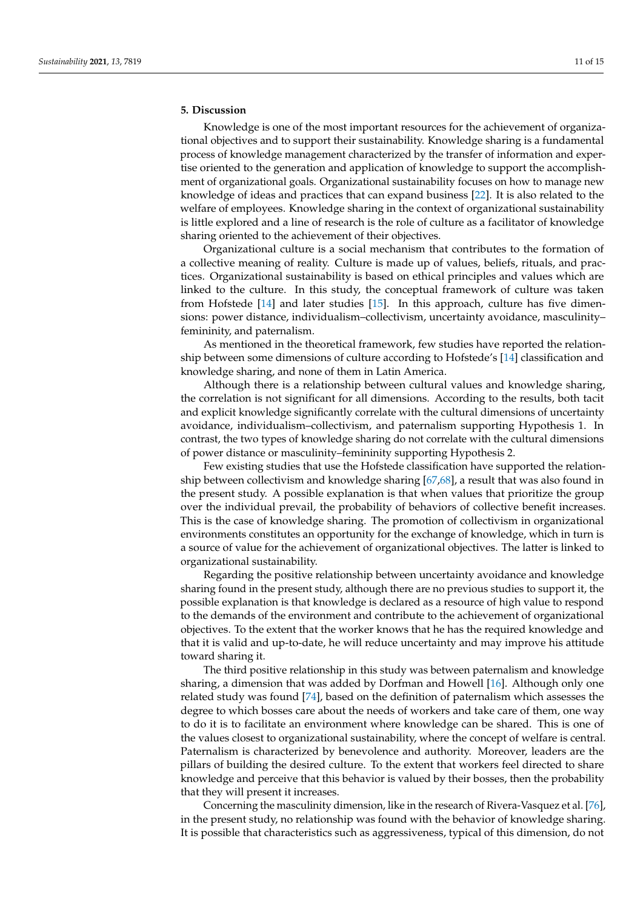# **5. Discussion**

Knowledge is one of the most important resources for the achievement of organizational objectives and to support their sustainability. Knowledge sharing is a fundamental process of knowledge management characterized by the transfer of information and expertise oriented to the generation and application of knowledge to support the accomplishment of organizational goals. Organizational sustainability focuses on how to manage new knowledge of ideas and practices that can expand business [\[22\]](#page-12-11). It is also related to the welfare of employees. Knowledge sharing in the context of organizational sustainability is little explored and a line of research is the role of culture as a facilitator of knowledge sharing oriented to the achievement of their objectives.

Organizational culture is a social mechanism that contributes to the formation of a collective meaning of reality. Culture is made up of values, beliefs, rituals, and practices. Organizational sustainability is based on ethical principles and values which are linked to the culture. In this study, the conceptual framework of culture was taken from Hofstede [\[14\]](#page-12-3) and later studies [\[15\]](#page-12-4). In this approach, culture has five dimensions: power distance, individualism–collectivism, uncertainty avoidance, masculinity– femininity, and paternalism.

As mentioned in the theoretical framework, few studies have reported the relationship between some dimensions of culture according to Hofstede's [\[14\]](#page-12-3) classification and knowledge sharing, and none of them in Latin America.

Although there is a relationship between cultural values and knowledge sharing, the correlation is not significant for all dimensions. According to the results, both tacit and explicit knowledge significantly correlate with the cultural dimensions of uncertainty avoidance, individualism–collectivism, and paternalism supporting Hypothesis 1. In contrast, the two types of knowledge sharing do not correlate with the cultural dimensions of power distance or masculinity–femininity supporting Hypothesis 2.

Few existing studies that use the Hofstede classification have supported the relationship between collectivism and knowledge sharing [\[67,](#page-13-23)[68\]](#page-13-24), a result that was also found in the present study. A possible explanation is that when values that prioritize the group over the individual prevail, the probability of behaviors of collective benefit increases. This is the case of knowledge sharing. The promotion of collectivism in organizational environments constitutes an opportunity for the exchange of knowledge, which in turn is a source of value for the achievement of organizational objectives. The latter is linked to organizational sustainability.

Regarding the positive relationship between uncertainty avoidance and knowledge sharing found in the present study, although there are no previous studies to support it, the possible explanation is that knowledge is declared as a resource of high value to respond to the demands of the environment and contribute to the achievement of organizational objectives. To the extent that the worker knows that he has the required knowledge and that it is valid and up-to-date, he will reduce uncertainty and may improve his attitude toward sharing it.

The third positive relationship in this study was between paternalism and knowledge sharing, a dimension that was added by Dorfman and Howell [\[16\]](#page-12-5). Although only one related study was found [\[74\]](#page-14-0), based on the definition of paternalism which assesses the degree to which bosses care about the needs of workers and take care of them, one way to do it is to facilitate an environment where knowledge can be shared. This is one of the values closest to organizational sustainability, where the concept of welfare is central. Paternalism is characterized by benevolence and authority. Moreover, leaders are the pillars of building the desired culture. To the extent that workers feel directed to share knowledge and perceive that this behavior is valued by their bosses, then the probability that they will present it increases.

Concerning the masculinity dimension, like in the research of Rivera-Vasquez et al. [\[76\]](#page-14-2), in the present study, no relationship was found with the behavior of knowledge sharing. It is possible that characteristics such as aggressiveness, typical of this dimension, do not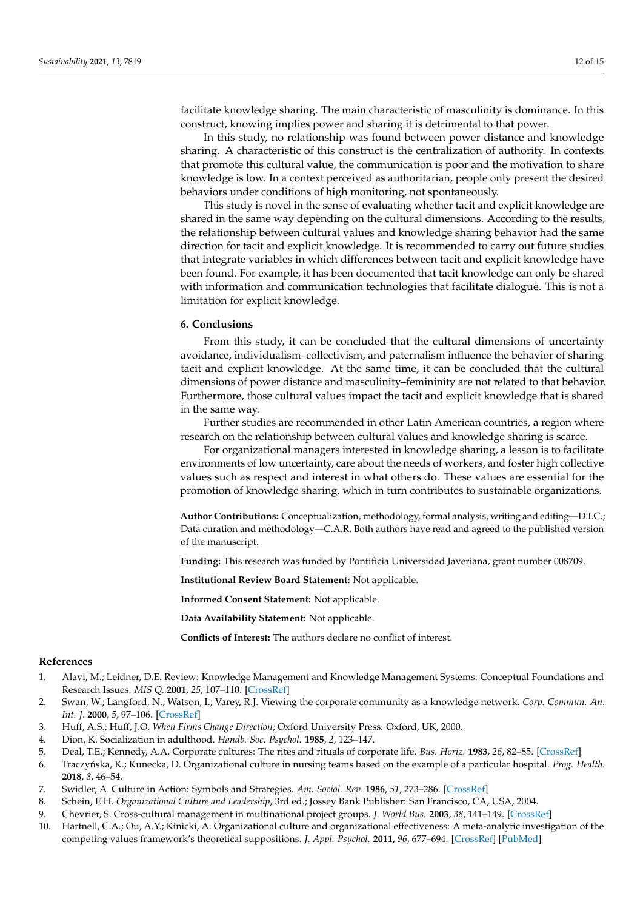facilitate knowledge sharing. The main characteristic of masculinity is dominance. In this construct, knowing implies power and sharing it is detrimental to that power.

In this study, no relationship was found between power distance and knowledge sharing. A characteristic of this construct is the centralization of authority. In contexts that promote this cultural value, the communication is poor and the motivation to share knowledge is low. In a context perceived as authoritarian, people only present the desired behaviors under conditions of high monitoring, not spontaneously.

This study is novel in the sense of evaluating whether tacit and explicit knowledge are shared in the same way depending on the cultural dimensions. According to the results, the relationship between cultural values and knowledge sharing behavior had the same direction for tacit and explicit knowledge. It is recommended to carry out future studies that integrate variables in which differences between tacit and explicit knowledge have been found. For example, it has been documented that tacit knowledge can only be shared with information and communication technologies that facilitate dialogue. This is not a limitation for explicit knowledge.

# **6. Conclusions**

From this study, it can be concluded that the cultural dimensions of uncertainty avoidance, individualism–collectivism, and paternalism influence the behavior of sharing tacit and explicit knowledge. At the same time, it can be concluded that the cultural dimensions of power distance and masculinity–femininity are not related to that behavior. Furthermore, those cultural values impact the tacit and explicit knowledge that is shared in the same way.

Further studies are recommended in other Latin American countries, a region where research on the relationship between cultural values and knowledge sharing is scarce.

For organizational managers interested in knowledge sharing, a lesson is to facilitate environments of low uncertainty, care about the needs of workers, and foster high collective values such as respect and interest in what others do. These values are essential for the promotion of knowledge sharing, which in turn contributes to sustainable organizations.

**Author Contributions:** Conceptualization, methodology, formal analysis, writing and editing—D.I.C.; Data curation and methodology—C.A.R. Both authors have read and agreed to the published version of the manuscript.

**Funding:** This research was funded by Pontificia Universidad Javeriana, grant number 008709.

**Institutional Review Board Statement:** Not applicable.

**Informed Consent Statement:** Not applicable.

**Data Availability Statement:** Not applicable.

**Conflicts of Interest:** The authors declare no conflict of interest.

## **References**

- <span id="page-11-0"></span>1. Alavi, M.; Leidner, D.E. Review: Knowledge Management and Knowledge Management Systems: Conceptual Foundations and Research Issues. *MIS Q.* **2001**, *25*, 107–110. [\[CrossRef\]](http://doi.org/10.2307/3250961)
- <span id="page-11-1"></span>2. Swan, W.; Langford, N.; Watson, I.; Varey, R.J. Viewing the corporate community as a knowledge network. *Corp. Commun. An. Int. J.* **2000**, *5*, 97–106. [\[CrossRef\]](http://doi.org/10.1108/13563280010372522)
- <span id="page-11-2"></span>3. Huff, A.S.; Huff, J.O. *When Firms Change Direction*; Oxford University Press: Oxford, UK, 2000.
- <span id="page-11-3"></span>4. Dion, K. Socialization in adulthood. *Handb. Soc. Psychol.* **1985**, *2*, 123–147.
- <span id="page-11-4"></span>5. Deal, T.E.; Kennedy, A.A. Corporate cultures: The rites and rituals of corporate life. *Bus. Horiz.* **1983**, *26*, 82–85. [\[CrossRef\]](http://doi.org/10.1016/0007-6813(83)90092-7)
- <span id="page-11-5"></span>6. Traczy ´nska, K.; Kunecka, D. Organizational culture in nursing teams based on the example of a particular hospital. *Prog. Health.* **2018**, *8*, 46–54.
- <span id="page-11-6"></span>7. Swidler, A. Culture in Action: Symbols and Strategies. *Am. Sociol. Rev.* **1986**, *51*, 273–286. [\[CrossRef\]](http://doi.org/10.2307/2095521)
- <span id="page-11-7"></span>8. Schein, E.H. *Organizational Culture and Leadership*, 3rd ed.; Jossey Bank Publisher: San Francisco, CA, USA, 2004.
- <span id="page-11-8"></span>9. Chevrier, S. Cross-cultural management in multinational project groups. *J. World Bus.* **2003**, *38*, 141–149. [\[CrossRef\]](http://doi.org/10.1016/S1090-9516(03)00007-5)
- <span id="page-11-9"></span>10. Hartnell, C.A.; Ou, A.Y.; Kinicki, A. Organizational culture and organizational effectiveness: A meta-analytic investigation of the competing values framework's theoretical suppositions. *J. Appl. Psychol.* **2011**, *96*, 677–694. [\[CrossRef\]](http://doi.org/10.1037/a0021987) [\[PubMed\]](http://www.ncbi.nlm.nih.gov/pubmed/21244127)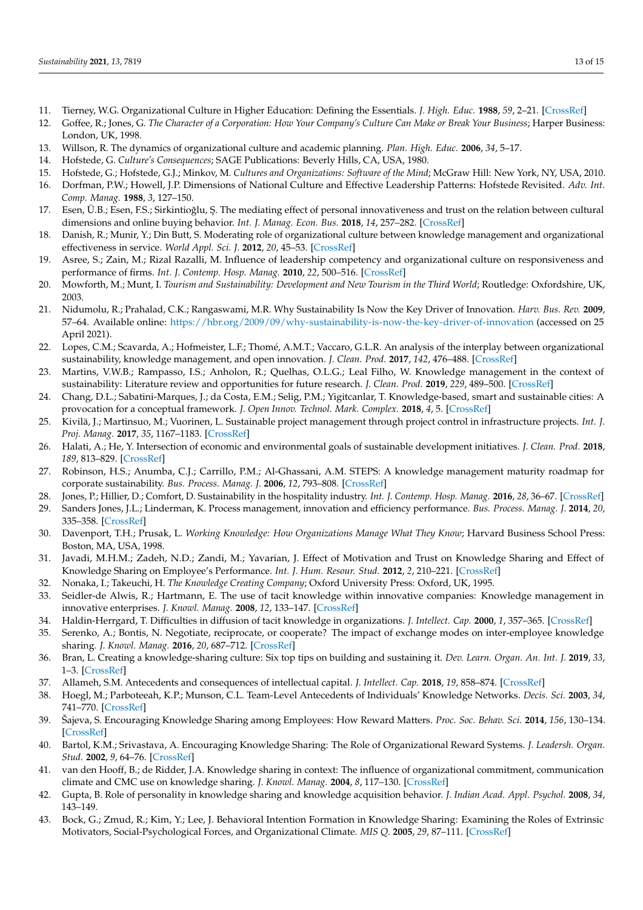- <span id="page-12-0"></span>11. Tierney, W.G. Organizational Culture in Higher Education: Defining the Essentials. *J. High. Educ.* **1988**, *59*, 2–21. [\[CrossRef\]](http://doi.org/10.1080/00221546.1988.11778301)
- <span id="page-12-1"></span>12. Goffee, R.; Jones, G. *The Character of a Corporation: How Your Company's Culture Can Make or Break Your Business*; Harper Business: London, UK, 1998.
- <span id="page-12-2"></span>13. Willson, R. The dynamics of organizational culture and academic planning. *Plan. High. Educ.* **2006**, *34*, 5–17.
- <span id="page-12-3"></span>14. Hofstede, G. *Culture's Consequences*; SAGE Publications: Beverly Hills, CA, USA, 1980.
- <span id="page-12-4"></span>15. Hofstede, G.; Hofstede, G.J.; Minkov, M. *Cultures and Organizations: Software of the Mind*; McGraw Hill: New York, NY, USA, 2010.
- <span id="page-12-5"></span>16. Dorfman, P.W.; Howell, J.P. Dimensions of National Culture and Effective Leadership Patterns: Hofstede Revisited. *Adv. Int. Comp. Manag.* **1988**, *3*, 127–150.
- <span id="page-12-6"></span>17. Esen, Ü.B.; Esen, F.S.; Sirkintioğlu, Ş. The mediating effect of personal innovativeness and trust on the relation between cultural dimensions and online buying behavior. *Int. J. Manag. Econ. Bus.* **2018**, *14*, 257–282. [\[CrossRef\]](http://doi.org/10.17130/ijmeb.2018137584)
- <span id="page-12-7"></span>18. Danish, R.; Munir, Y.; Din Butt, S. Moderating role of organizational culture between knowledge management and organizational effectiveness in service. *World Appl. Sci. J.* **2012**, *20*, 45–53. [\[CrossRef\]](http://doi.org/10.5829/idosi.wasj.2012.20.01.1740)
- <span id="page-12-8"></span>19. Asree, S.; Zain, M.; Rizal Razalli, M. Influence of leadership competency and organizational culture on responsiveness and performance of firms. *Int. J. Contemp. Hosp. Manag.* **2010**, *22*, 500–516. [\[CrossRef\]](http://doi.org/10.1108/09596111011042712)
- <span id="page-12-9"></span>20. Mowforth, M.; Munt, I. *Tourism and Sustainability: Development and New Tourism in the Third World*; Routledge: Oxfordshire, UK, 2003.
- <span id="page-12-10"></span>21. Nidumolu, R.; Prahalad, C.K.; Rangaswami, M.R. Why Sustainability Is Now the Key Driver of Innovation. *Harv. Bus. Rev.* **2009**, 57–64. Available online: <https://hbr.org/2009/09/why-sustainability-is-now-the-key-driver-of-innovation> (accessed on 25 April 2021).
- <span id="page-12-11"></span>22. Lopes, C.M.; Scavarda, A.; Hofmeister, L.F.; Thomé, A.M.T.; Vaccaro, G.L.R. An analysis of the interplay between organizational sustainability, knowledge management, and open innovation. *J. Clean. Prod.* **2017**, *142*, 476–488. [\[CrossRef\]](http://doi.org/10.1016/j.jclepro.2016.10.083)
- <span id="page-12-12"></span>23. Martins, V.W.B.; Rampasso, I.S.; Anholon, R.; Quelhas, O.L.G.; Leal Filho, W. Knowledge management in the context of sustainability: Literature review and opportunities for future research. *J. Clean. Prod.* **2019**, *229*, 489–500. [\[CrossRef\]](http://doi.org/10.1016/j.jclepro.2019.04.354)
- <span id="page-12-13"></span>24. Chang, D.L.; Sabatini-Marques, J.; da Costa, E.M.; Selig, P.M.; Yigitcanlar, T. Knowledge-based, smart and sustainable cities: A provocation for a conceptual framework. *J. Open Innov. Technol. Mark. Complex.* **2018**, *4*, 5. [\[CrossRef\]](http://doi.org/10.1186/s40852-018-0087-2)
- <span id="page-12-14"></span>25. Kivilä, J.; Martinsuo, M.; Vuorinen, L. Sustainable project management through project control in infrastructure projects. *Int. J. Proj. Manag.* **2017**, *35*, 1167–1183. [\[CrossRef\]](http://doi.org/10.1016/j.ijproman.2017.02.009)
- <span id="page-12-15"></span>26. Halati, A.; He, Y. Intersection of economic and environmental goals of sustainable development initiatives. *J. Clean. Prod.* **2018**, *189*, 813–829. [\[CrossRef\]](http://doi.org/10.1016/j.jclepro.2018.03.322)
- <span id="page-12-16"></span>27. Robinson, H.S.; Anumba, C.J.; Carrillo, P.M.; Al-Ghassani, A.M. STEPS: A knowledge management maturity roadmap for corporate sustainability. *Bus. Process. Manag. J.* **2006**, *12*, 793–808. [\[CrossRef\]](http://doi.org/10.1108/14637150610710936)
- <span id="page-12-17"></span>28. Jones, P.; Hillier, D.; Comfort, D. Sustainability in the hospitality industry. *Int. J. Contemp. Hosp. Manag.* **2016**, *28*, 36–67. [\[CrossRef\]](http://doi.org/10.1108/IJCHM-11-2014-0572)
- <span id="page-12-18"></span>29. Sanders Jones, J.L.; Linderman, K. Process management, innovation and efficiency performance. *Bus. Process. Manag. J.* **2014**, *20*, 335–358. [\[CrossRef\]](http://doi.org/10.1108/BPMJ-03-2013-0026)
- <span id="page-12-19"></span>30. Davenport, T.H.; Prusak, L. *Working Knowledge: How Organizations Manage What They Know*; Harvard Business School Press: Boston, MA, USA, 1998.
- <span id="page-12-20"></span>31. Javadi, M.H.M.; Zadeh, N.D.; Zandi, M.; Yavarian, J. Effect of Motivation and Trust on Knowledge Sharing and Effect of Knowledge Sharing on Employee's Performance. *Int. J. Hum. Resour. Stud.* **2012**, *2*, 210–221. [\[CrossRef\]](http://doi.org/10.5296/ijhrs.v2i1.1675)
- <span id="page-12-21"></span>32. Nonaka, I.; Takeuchi, H. *The Knowledge Creating Company*; Oxford University Press: Oxford, UK, 1995.
- <span id="page-12-22"></span>33. Seidler-de Alwis, R.; Hartmann, E. The use of tacit knowledge within innovative companies: Knowledge management in innovative enterprises. *J. Knowl. Manag.* **2008**, *12*, 133–147. [\[CrossRef\]](http://doi.org/10.1108/13673270810852449)
- <span id="page-12-23"></span>34. Haldin-Herrgard, T. Difficulties in diffusion of tacit knowledge in organizations. *J. Intellect. Cap.* **2000**, *1*, 357–365. [\[CrossRef\]](http://doi.org/10.1108/14691930010359252)
- <span id="page-12-24"></span>35. Serenko, A.; Bontis, N. Negotiate, reciprocate, or cooperate? The impact of exchange modes on inter-employee knowledge sharing. *J. Knowl. Manag.* **2016**, *20*, 687–712. [\[CrossRef\]](http://doi.org/10.1108/JKM-10-2015-0394)
- <span id="page-12-25"></span>36. Bran, L. Creating a knowledge-sharing culture: Six top tips on building and sustaining it. *Dev. Learn. Organ. An. Int. J.* **2019**, *33*, 1–3. [\[CrossRef\]](http://doi.org/10.1108/DLO-11-2018-0151)
- <span id="page-12-26"></span>37. Allameh, S.M. Antecedents and consequences of intellectual capital. *J. Intellect. Cap.* **2018**, *19*, 858–874. [\[CrossRef\]](http://doi.org/10.1108/JIC-05-2017-0068)
- <span id="page-12-27"></span>38. Hoegl, M.; Parboteeah, K.P.; Munson, C.L. Team-Level Antecedents of Individuals' Knowledge Networks. *Decis. Sci.* **2003**, *34*, 741–770. [\[CrossRef\]](http://doi.org/10.1111/j.1540-5414.2003.02344.x)
- <span id="page-12-28"></span>39. Šajeva, S. Encouraging Knowledge Sharing among Employees: How Reward Matters. *Proc. Soc. Behav. Sci.* **2014**, *156*, 130–134. [\[CrossRef\]](http://doi.org/10.1016/j.sbspro.2014.11.134)
- <span id="page-12-29"></span>40. Bartol, K.M.; Srivastava, A. Encouraging Knowledge Sharing: The Role of Organizational Reward Systems. *J. Leadersh. Organ. Stud.* **2002**, *9*, 64–76. [\[CrossRef\]](http://doi.org/10.1177/107179190200900105)
- <span id="page-12-30"></span>41. van den Hooff, B.; de Ridder, J.A. Knowledge sharing in context: The influence of organizational commitment, communication climate and CMC use on knowledge sharing. *J. Knowl. Manag.* **2004**, *8*, 117–130. [\[CrossRef\]](http://doi.org/10.1108/13673270410567675)
- <span id="page-12-31"></span>42. Gupta, B. Role of personality in knowledge sharing and knowledge acquisition behavior. *J. Indian Acad. Appl. Psychol.* **2008**, *34*, 143–149.
- <span id="page-12-32"></span>43. Bock, G.; Zmud, R.; Kim, Y.; Lee, J. Behavioral Intention Formation in Knowledge Sharing: Examining the Roles of Extrinsic Motivators, Social-Psychological Forces, and Organizational Climate. *MIS Q.* **2005**, *29*, 87–111. [\[CrossRef\]](http://doi.org/10.2307/25148669)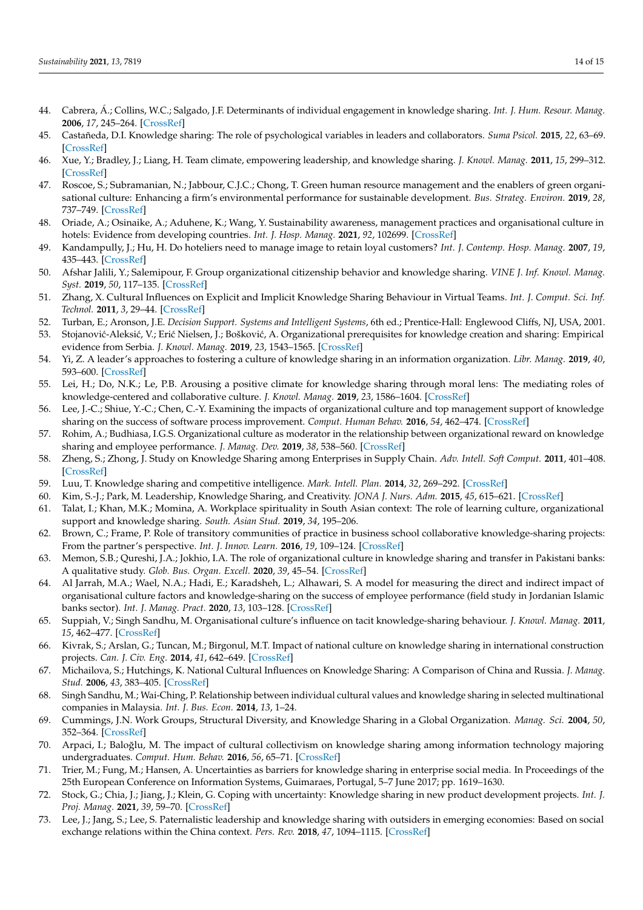- <span id="page-13-0"></span>44. Cabrera, Á.; Collins, W.C.; Salgado, J.F. Determinants of individual engagement in knowledge sharing. *Int. J. Hum. Resour. Manag.* **2006**, *17*, 245–264. [\[CrossRef\]](http://doi.org/10.1080/09585190500404614)
- <span id="page-13-1"></span>45. Castañeda, D.I. Knowledge sharing: The role of psychological variables in leaders and collaborators. *Suma Psicol.* **2015**, *22*, 63–69. [\[CrossRef\]](http://doi.org/10.1016/j.sumpsi.2015.05.008)
- <span id="page-13-2"></span>46. Xue, Y.; Bradley, J.; Liang, H. Team climate, empowering leadership, and knowledge sharing. *J. Knowl. Manag.* **2011**, *15*, 299–312. [\[CrossRef\]](http://doi.org/10.1108/13673271111119709)
- <span id="page-13-3"></span>47. Roscoe, S.; Subramanian, N.; Jabbour, C.J.C.; Chong, T. Green human resource management and the enablers of green organisational culture: Enhancing a firm's environmental performance for sustainable development. *Bus. Strateg. Environ.* **2019**, *28*, 737–749. [\[CrossRef\]](http://doi.org/10.1002/bse.2277)
- <span id="page-13-4"></span>48. Oriade, A.; Osinaike, A.; Aduhene, K.; Wang, Y. Sustainability awareness, management practices and organisational culture in hotels: Evidence from developing countries. *Int. J. Hosp. Manag.* **2021**, *92*, 102699. [\[CrossRef\]](http://doi.org/10.1016/j.ijhm.2020.102699)
- <span id="page-13-5"></span>49. Kandampully, J.; Hu, H. Do hoteliers need to manage image to retain loyal customers? *Int. J. Contemp. Hosp. Manag.* **2007**, *19*, 435–443. [\[CrossRef\]](http://doi.org/10.1108/09596110710775101)
- <span id="page-13-6"></span>50. Afshar Jalili, Y.; Salemipour, F. Group organizational citizenship behavior and knowledge sharing. *VINE J. Inf. Knowl. Manag. Syst.* **2019**, *50*, 117–135. [\[CrossRef\]](http://doi.org/10.1108/VJIKMS-12-2018-0117)
- <span id="page-13-7"></span>51. Zhang, X. Cultural Influences on Explicit and Implicit Knowledge Sharing Behaviour in Virtual Teams. *Int. J. Comput. Sci. Inf. Technol.* **2011**, *3*, 29–44. [\[CrossRef\]](http://doi.org/10.5121/ijcsit.2011.3403)
- <span id="page-13-8"></span>52. Turban, E.; Aronson, J.E. *Decision Support. Systems and Intelligent Systems*, 6th ed.; Prentice-Hall: Englewood Cliffs, NJ, USA, 2001.
- <span id="page-13-9"></span>53. Stojanović-Aleksić, V.; Erić Nielsen, J.; Bošković, A. Organizational prerequisites for knowledge creation and sharing: Empirical evidence from Serbia. *J. Knowl. Manag.* **2019**, *23*, 1543–1565. [\[CrossRef\]](http://doi.org/10.1108/JKM-05-2018-0286)
- <span id="page-13-10"></span>54. Yi, Z. A leader's approaches to fostering a culture of knowledge sharing in an information organization. *Libr. Manag.* **2019**, *40*, 593–600. [\[CrossRef\]](http://doi.org/10.1108/LM-11-2018-0083)
- <span id="page-13-11"></span>55. Lei, H.; Do, N.K.; Le, P.B. Arousing a positive climate for knowledge sharing through moral lens: The mediating roles of knowledge-centered and collaborative culture. *J. Knowl. Manag.* **2019**, *23*, 1586–1604. [\[CrossRef\]](http://doi.org/10.1108/JKM-04-2019-0201)
- <span id="page-13-12"></span>56. Lee, J.-C.; Shiue, Y.-C.; Chen, C.-Y. Examining the impacts of organizational culture and top management support of knowledge sharing on the success of software process improvement. *Comput. Human Behav.* **2016**, *54*, 462–474. [\[CrossRef\]](http://doi.org/10.1016/j.chb.2015.08.030)
- <span id="page-13-13"></span>57. Rohim, A.; Budhiasa, I.G.S. Organizational culture as moderator in the relationship between organizational reward on knowledge sharing and employee performance. *J. Manag. Dev.* **2019**, *38*, 538–560. [\[CrossRef\]](http://doi.org/10.1108/JMD-07-2018-0190)
- <span id="page-13-14"></span>58. Zheng, S.; Zhong, J. Study on Knowledge Sharing among Enterprises in Supply Chain. *Adv. Intell. Soft Comput.* **2011**, 401–408. [\[CrossRef\]](http://doi.org/10.1007/978-3-642-25194-8_49)
- <span id="page-13-15"></span>59. Luu, T. Knowledge sharing and competitive intelligence. *Mark. Intell. Plan.* **2014**, *32*, 269–292. [\[CrossRef\]](http://doi.org/10.1108/MIP-05-2013-0077)
- <span id="page-13-16"></span>60. Kim, S.-J.; Park, M. Leadership, Knowledge Sharing, and Creativity. *JONA J. Nurs. Adm.* **2015**, *45*, 615–621. [\[CrossRef\]](http://doi.org/10.1097/NNA.0000000000000274)
- <span id="page-13-17"></span>61. Talat, I.; Khan, M.K.; Momina, A. Workplace spirituality in South Asian context: The role of learning culture, organizational support and knowledge sharing. *South. Asian Stud.* **2019**, *34*, 195–206.
- <span id="page-13-18"></span>62. Brown, C.; Frame, P. Role of transitory communities of practice in business school collaborative knowledge-sharing projects: From the partner's perspective. *Int. J. Innov. Learn.* **2016**, *19*, 109–124. [\[CrossRef\]](http://doi.org/10.1504/IJIL.2016.073306)
- <span id="page-13-19"></span>63. Memon, S.B.; Qureshi, J.A.; Jokhio, I.A. The role of organizational culture in knowledge sharing and transfer in Pakistani banks: A qualitative study. *Glob. Bus. Organ. Excell.* **2020**, *39*, 45–54. [\[CrossRef\]](http://doi.org/10.1002/joe.21997)
- <span id="page-13-20"></span>64. Al Jarrah, M.A.; Wael, N.A.; Hadi, E.; Karadsheh, L.; Alhawari, S. A model for measuring the direct and indirect impact of organisational culture factors and knowledge-sharing on the success of employee performance (field study in Jordanian Islamic banks sector). *Int. J. Manag. Pract.* **2020**, *13*, 103–128. [\[CrossRef\]](http://doi.org/10.1504/IJMP.2020.104069)
- <span id="page-13-21"></span>65. Suppiah, V.; Singh Sandhu, M. Organisational culture's influence on tacit knowledge-sharing behaviour. *J. Knowl. Manag.* **2011**, *15*, 462–477. [\[CrossRef\]](http://doi.org/10.1108/13673271111137439)
- <span id="page-13-22"></span>66. Kivrak, S.; Arslan, G.; Tuncan, M.; Birgonul, M.T. Impact of national culture on knowledge sharing in international construction projects. *Can. J. Civ. Eng.* **2014**, *41*, 642–649. [\[CrossRef\]](http://doi.org/10.1139/cjce-2013-0408)
- <span id="page-13-23"></span>67. Michailova, S.; Hutchings, K. National Cultural Influences on Knowledge Sharing: A Comparison of China and Russia. *J. Manag. Stud.* **2006**, *43*, 383–405. [\[CrossRef\]](http://doi.org/10.1111/j.1467-6486.2006.00595.x)
- <span id="page-13-24"></span>68. Singh Sandhu, M.; Wai-Ching, P. Relationship between individual cultural values and knowledge sharing in selected multinational companies in Malaysia. *Int. J. Bus. Econ.* **2014**, *13*, 1–24.
- <span id="page-13-25"></span>69. Cummings, J.N. Work Groups, Structural Diversity, and Knowledge Sharing in a Global Organization. *Manag. Sci.* **2004**, *50*, 352–364. [\[CrossRef\]](http://doi.org/10.1287/mnsc.1030.0134)
- <span id="page-13-26"></span>70. Arpaci, I.; Baloğlu, M. The impact of cultural collectivism on knowledge sharing among information technology majoring undergraduates. *Comput. Hum. Behav.* **2016**, *56*, 65–71. [\[CrossRef\]](http://doi.org/10.1016/j.chb.2015.11.031)
- <span id="page-13-27"></span>71. Trier, M.; Fung, M.; Hansen, A. Uncertainties as barriers for knowledge sharing in enterprise social media. In Proceedings of the 25th European Conference on Information Systems, Guimaraes, Portugal, 5–7 June 2017; pp. 1619–1630.
- <span id="page-13-28"></span>72. Stock, G.; Chia, J.; Jiang, J.; Klein, G. Coping with uncertainty: Knowledge sharing in new product development projects. *Int. J. Proj. Manag.* **2021**, *39*, 59–70. [\[CrossRef\]](http://doi.org/10.1016/j.ijproman.2020.10.001)
- <span id="page-13-29"></span>73. Lee, J.; Jang, S.; Lee, S. Paternalistic leadership and knowledge sharing with outsiders in emerging economies: Based on social exchange relations within the China context. *Pers. Rev.* **2018**, *47*, 1094–1115. [\[CrossRef\]](http://doi.org/10.1108/PR-03-2017-0068)